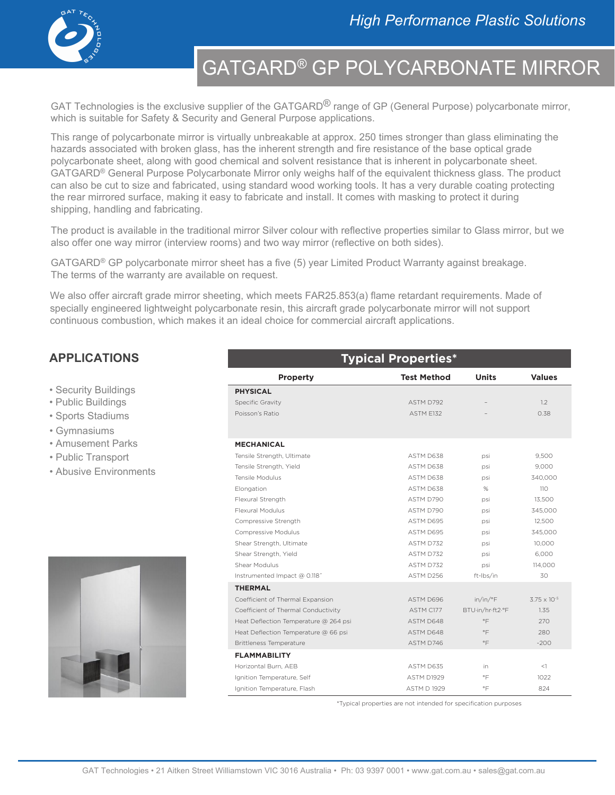

## GATGARD® GP POLYCARBONATE MIRROR

GAT Technologies is the exclusive supplier of the GATGARD<sup>®</sup> range of GP (General Purpose) polycarbonate mirror, which is suitable for Safety & Security and General Purpose applications.

This range of polycarbonate mirror is virtually unbreakable at approx. 250 times stronger than glass eliminating the hazards associated with broken glass, has the inherent strength and fire resistance of the base optical grade polycarbonate sheet, along with good chemical and solvent resistance that is inherent in polycarbonate sheet. GATGARD® General Purpose Polycarbonate Mirror only weighs half of the equivalent thickness glass. The product can also be cut to size and fabricated, using standard wood working tools. It has a very durable coating protecting the rear mirrored surface, making it easy to fabricate and install. It comes with masking to protect it during shipping, handling and fabricating.

The product is available in the traditional mirror Silver colour with reflective properties similar to Glass mirror, but we also offer one way mirror (interview rooms) and two way mirror (reflective on both sides).

GATGARD® GP polycarbonate mirror sheet has a five (5) year Limited Product Warranty against breakage. The terms of the warranty are available on request.

We also offer aircraft grade mirror sheeting, which meets FAR25.853(a) flame retardant requirements. Made of specially engineered lightweight polycarbonate resin, this aircraft grade polycarbonate mirror will not support continuous combustion, which makes it an ideal choice for commercial aircraft applications.

### **APPLICATIONS**

- Security Buildings
- Public Buildings
- Sports Stadiums
- Gymnasiums
- Amusement Parks
- Public Transport
- Abusive Environments



| <b>Typical Properties*</b>            |                    |                  |                       |
|---------------------------------------|--------------------|------------------|-----------------------|
| <b>Property</b>                       | <b>Test Method</b> | <b>Units</b>     | <b>Values</b>         |
| <b>PHYSICAL</b>                       |                    |                  |                       |
| <b>Specific Gravity</b>               | ASTM D792          |                  | 1.2                   |
| Poisson's Ratio                       | ASTM E132          |                  | 0.38                  |
|                                       |                    |                  |                       |
| <b>MECHANICAL</b>                     |                    |                  |                       |
| Tensile Strength, Ultimate            | ASTM D638          | psi              | 9,500                 |
| Tensile Strength, Yield               | ASTM D638          | psi              | 9,000                 |
| Tensile Modulus                       | ASTM D638          | psi              | 340,000               |
| Elongation                            | ASTM D638          | %                | 110                   |
| Flexural Strength                     | ASTM D790          | psi              | 13.500                |
| <b>Flexural Modulus</b>               | ASTM D790          | psi              | 345,000               |
| Compressive Strength                  | ASTM D695          | psi              | 12,500                |
| <b>Compressive Modulus</b>            | ASTM D695          | psi              | 345.000               |
| Shear Strength, Ultimate              | ASTM D732          | psi              | 10,000                |
| Shear Strength, Yield                 | ASTM D732          | psi              | 6.000                 |
| Shear Modulus                         | ASTM D732          | psi              | 114,000               |
| Instrumented Impact @ 0.118"          | ASTM D256          | ft-Ibs/in        | 30                    |
| <b>THERMAL</b>                        |                    |                  |                       |
| Coefficient of Thermal Expansion      | ASTM D696          | in/in/°F         | $3.75 \times 10^{-5}$ |
| Coefficient of Thermal Conductivity   | ASTM C177          | BTU in/hr ft2.°F | 1.35                  |
| Heat Deflection Temperature @ 264 psi | ASTM D648          | $\circ \vDash$   | 270                   |
| Heat Deflection Temperature @ 66 psi  | ASTM D648          | $^{\circ}$ F     | 280                   |
| <b>Brittleness Temperature</b>        | ASTM D746          | °F               | $-200$                |
| <b>FLAMMABILITY</b>                   |                    |                  |                       |
| Horizontal Burn, AEB                  | ASTM D635          | in               | <1                    |
| Ignition Temperature, Self            | ASTM D1929         | $\circ \vDash$   | 1022                  |
| Ignition Temperature, Flash           | <b>ASTM D 1929</b> | $\circ \vDash$   | 824                   |

\*Typical properties are not intended for specification purposes